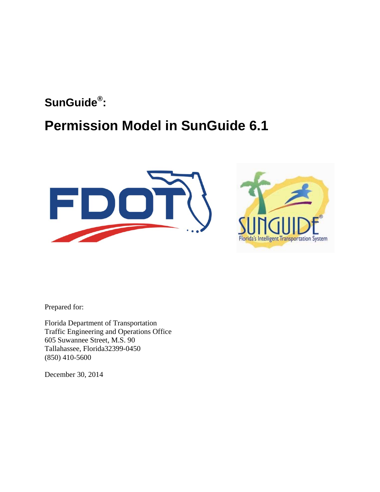# **SunGuide® :**

# **Permission Model in SunGuide 6.1**





Prepared for:

Florida Department of Transportation Traffic Engineering and Operations Office 605 Suwannee Street, M.S. 90 Tallahassee, Florida32399-0450 (850) 410-5600

December 30, 2014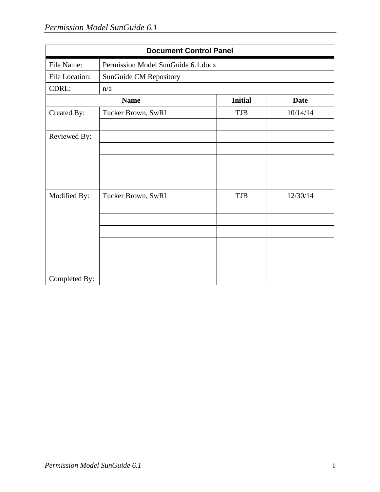| <b>Document Control Panel</b> |                                    |                |             |  |
|-------------------------------|------------------------------------|----------------|-------------|--|
| File Name:                    | Permission Model SunGuide 6.1.docx |                |             |  |
| File Location:                | SunGuide CM Repository             |                |             |  |
| CDRL:                         | n/a                                |                |             |  |
| <b>Name</b>                   |                                    | <b>Initial</b> | <b>Date</b> |  |
| Created By:                   | Tucker Brown, SwRI                 | <b>TJB</b>     | 10/14/14    |  |
| Reviewed By:                  |                                    |                |             |  |
|                               |                                    |                |             |  |
|                               |                                    |                |             |  |
| Modified By:                  | Tucker Brown, SwRI                 | TJB            | 12/30/14    |  |
|                               |                                    |                |             |  |
|                               |                                    |                |             |  |
|                               |                                    |                |             |  |
|                               |                                    |                |             |  |
|                               |                                    |                |             |  |
| Completed By:                 |                                    |                |             |  |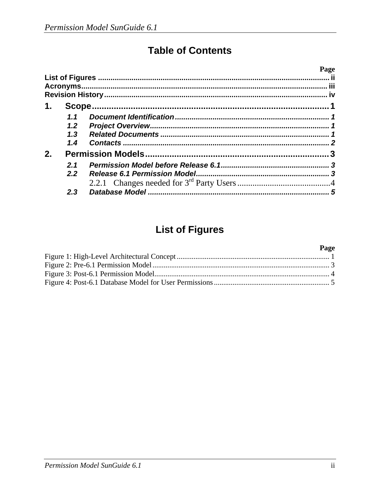### **Table of Contents**

|    |               |  | Page |
|----|---------------|--|------|
|    |               |  |      |
|    |               |  |      |
|    |               |  |      |
| 1. |               |  |      |
|    | 1.1           |  |      |
|    | $1.2^{\circ}$ |  |      |
|    | 1.3           |  |      |
|    | 1.4           |  |      |
| 2. |               |  |      |
|    | 2.1           |  |      |
|    | 2.2           |  |      |
|    |               |  |      |
|    | 2.3           |  |      |

### **List of Figures**

#### Page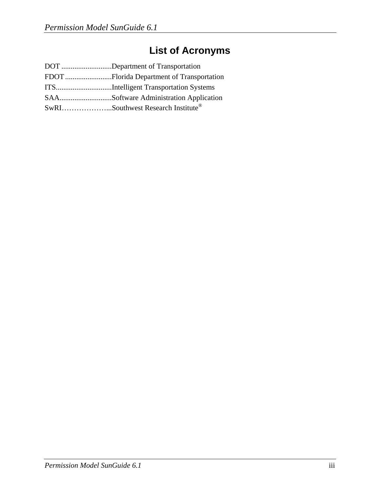## **List of Acronyms**

| DOT Department of Transportation  |
|-----------------------------------|
|                                   |
|                                   |
|                                   |
| SwRISouthwest Research Institute® |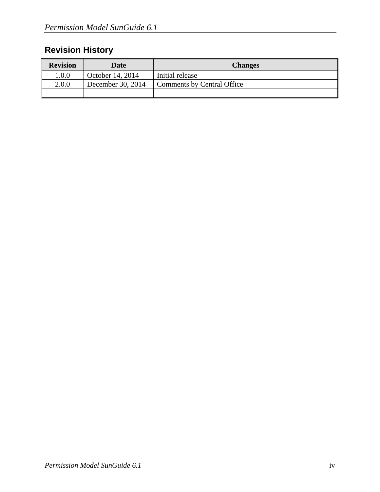### **Revision History**

| <b>Revision</b> | Date              | <b>Changes</b>             |
|-----------------|-------------------|----------------------------|
| 1.0.0           | October 14, 2014  | Initial release            |
| 2.0.0           | December 30, 2014 | Comments by Central Office |
|                 |                   |                            |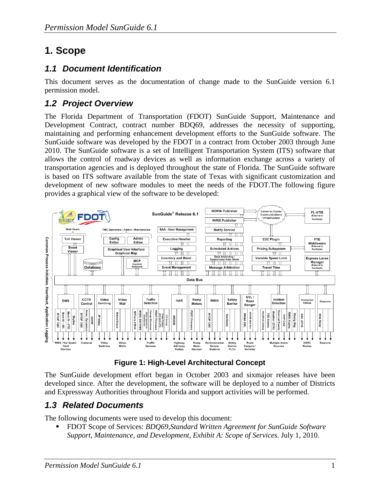### **1. Scope**

#### *1.1 Document Identification*

This document serves as the documentation of change made to the SunGuide version 6.1 permission model.

### *1.2 Project Overview*

The Florida Department of Transportation (FDOT) SunGuide Support, Maintenance and Development Contract, contract number BDQ69, addresses the necessity of supporting, maintaining and performing enhancement development efforts to the SunGuide software. The SunGuide software was developed by the FDOT in a contract from October 2003 through June 2010. The SunGuide software is a set of Intelligent Transportation System (ITS) software that allows the control of roadway devices as well as information exchange across a variety of transportation agencies and is deployed throughout the state of Florida. The SunGuide software is based on ITS software available from the state of Texas with significant customization and development of new software modules to meet the needs of the FDOT.The following figure provides a graphical view of the software to be developed:



**Figure 1: High-Level Architectural Concept** 

The SunGuide development effort began in October 2003 and sixmajor releases have been developed since. After the development, the software will be deployed to a number of Districts and Expressway Authorities throughout Florida and support activities will be performed.

### *1.3 Related Documents*

The following documents were used to develop this document:

 FDOT Scope of Services: *BDQ69,Standard Written Agreement for SunGuide Software Support, Maintenance, and Development, Exhibit A: Scope of Services.* July 1, 2010.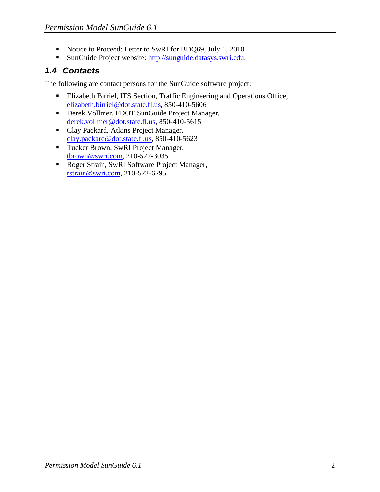- Notice to Proceed: Letter to SwRI for BDQ69, July 1, 2010
- SunGuide Project website: http://sunguide.datasys.swri.edu.

#### *1.4 Contacts*

The following are contact persons for the SunGuide software project:

- Elizabeth Birriel, ITS Section, Traffic Engineering and Operations Office, elizabeth.birriel@dot.state.fl.us, 850-410-5606
- Derek Vollmer, FDOT SunGuide Project Manager, derek.vollmer@dot.state.fl.us, 850-410-5615
- Clay Packard, Atkins Project Manager, clay.packard@dot.state.fl.us, 850-410-5623
- Tucker Brown, SwRI Project Manager, tbrown@swri.com, 210-522-3035
- Roger Strain, SwRI Software Project Manager, rstrain@swri.com, 210-522-6295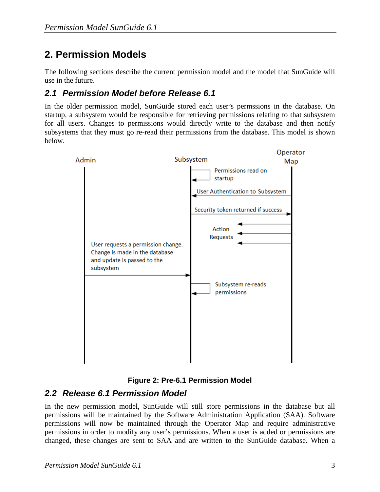### **2. Permission Models**

The following sections describe the current permission model and the model that SunGuide will use in the future.

#### *2.1 Permission Model before Release 6.1*

In the older permission model, SunGuide stored each user's permssions in the database. On startup, a subsystem would be responsible for retrieving permissions relating to that subsystem for all users. Changes to permissions would directly write to the database and then notify subsystems that they must go re-read their permissions from the database. This model is shown below.





#### *2.2 Release 6.1 Permission Model*

In the new permission model, SunGuide will still store permissions in the database but all permissions will be maintained by the Software Administration Application (SAA). Software permissions will now be maintained through the Operator Map and require administrative permissions in order to modify any user's permissions. When a user is added or permissions are changed, these changes are sent to SAA and are written to the SunGuide database. When a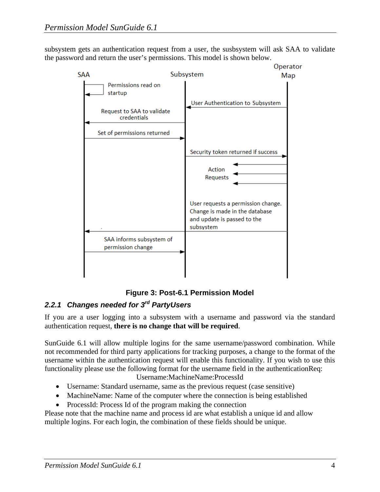subsystem gets an authentication request from a user, the susbsystem will ask SAA to validate the password and return the user's permissions. This model is shown below.



#### **Figure 3: Post-6.1 Permission Model**

#### *2.2.1 Changes needed for 3rd PartyUsers*

If you are a user logging into a subsystem with a username and password via the standard authentication request, **there is no change that will be required**.

SunGuide 6.1 will allow multiple logins for the same username/password combination. While not recommended for third party applications for tracking purposes, a change to the format of the username within the authentication request will enable this functionality. If you wish to use this functionality please use the following format for the username field in the authenticationReq: Username:MachineName:ProcessId

- Username: Standard username, same as the previous request (case sensitive)
- MachineName: Name of the computer where the connection is being established
- ProcessId: Process Id of the program making the connection

Please note that the machine name and process id are what establish a unique id and allow multiple logins. For each login, the combination of these fields should be unique.